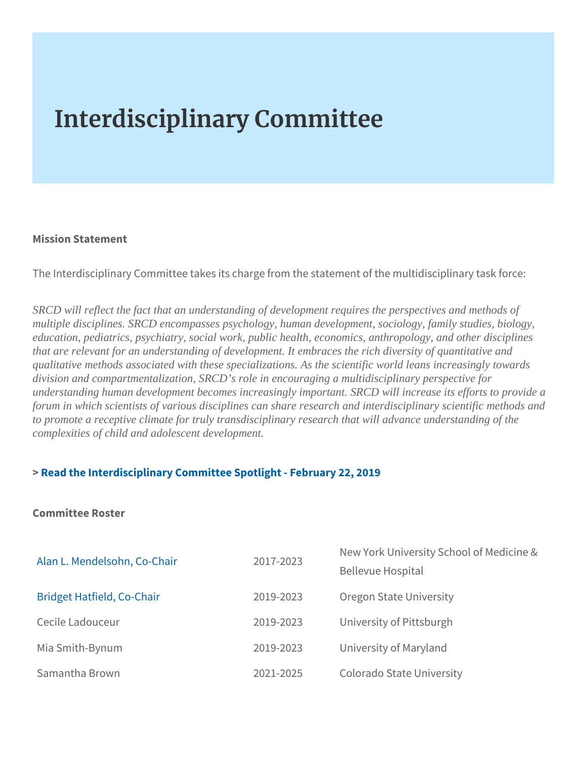## Interdisciplinary Committee

Mission Statement

## The Interdisciplinary Committee takes its charge from the statemen

SRCD will reflect the fact that an understanding of development requires the perspectives and methods of multiple disciplines. SRCD encompasses psychology, human development, sociology, family studies, biology, education, pediatrics, psychiatry, social work, public health, economics, anthropology, and other disciplines that are relevant for an understanding of development. It embraces the rich diversity of quantitative and qualitative methods associated with these specializations. As the scientific world leans increasingly towards division and compartmentalization, SRCD's role in encouraging a multidisciplinary perspective for understanding human development becomes increasingly important. SRCD will increase its efforts to provide forum in which scientists of various disciplines can share research and interdisciplinary scientific methods and to promote a receptive climate for truly transdisciplinary research that will advance understanding of the complexities of child and adolescent development.

## [> Read the Interdisciplinary Committee Spo](https://www.srcd.org/news/spotlight-interdisciplinary-committee-encouraging-multidisciplinary-perspective-child)tlight - February 22, 2019

Committee Roster

| Alan L. Mendelsohn, Co-Ch2a0if7-2023                         |  |                                     | New York University School of |  |
|--------------------------------------------------------------|--|-------------------------------------|-------------------------------|--|
|                                                              |  | Bellevue Hospital                   |                               |  |
| Bridget Hatfield, Co-Chair 2019-2023 Oregon State University |  |                                     |                               |  |
| Cecile Ladouceur                                             |  | 2019-2023 University of Pittsburgh  |                               |  |
| Mia Smith-Bynum                                              |  | 2019-2023 University of Maryland    |                               |  |
| Samantha Brown                                               |  | 2021-2025 Colorado State University |                               |  |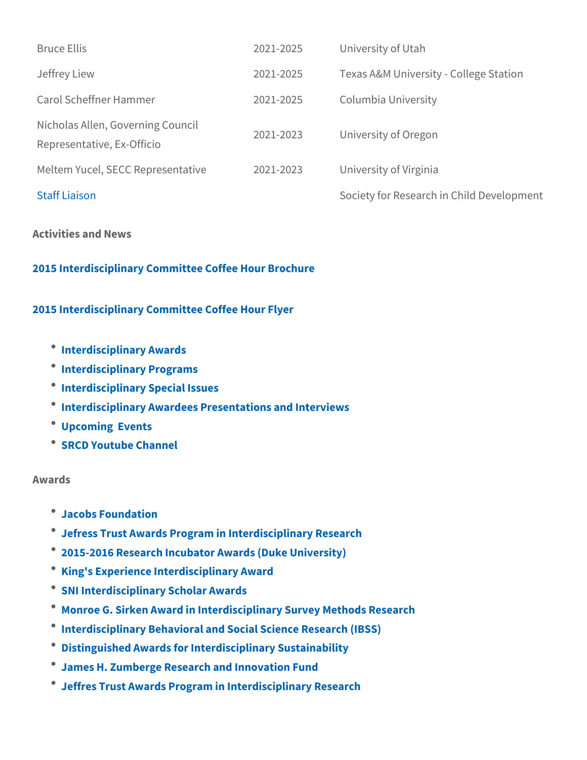Bruce Ellis 2021-2025 University of Utah Jeffrey Liew 2021-2025 Texas A&M University - College Stational Agency 2021-2025 Texas A&M University - Colleg Carol Scheffner Hammer 2021-2025 Columbia University Nicholas Allen, Governing Council Representative, Ex-Officio 2021-2023 University of Oregon Meltem Yucel, SECC Repre 2021 a 200 23 University of Virginia [Staff Li](mailto:membership@srcd.org)aison Society for Research in Child

Activities and News

[2015 Interdisciplinary Committee C](https://www.srcd.org/sites/default/files/file-attachments/ic2015brochurebio_final.pdf)offee Hour Brochure

[2015 Interdisciplinary Committe](https://www.srcd.org/sites/default/files/file-attachments/ic2015flyer_final.pdf)e Coffee Hour Flyer

- *Calcuter disciplinary Awards*
- Interdisciplinary Programs
- *CALLET Interdisciplinary Special Issues*
- $^{\bullet}$  Interdisciplinary Awardees Presentations and Interviews
- Upcoming Events
- [SRCD Youtube](https://www.youtube.com/user/srcdchilddevelopment) Channel

Awards

- [Jacobs Foun](http://jacobsfoundation.org/what-we-do/klaus-j-jacobs-awards/)dation
- [Jefress Trust Awards Program in Inte](http://www.hria.org/tmfgrants/jeffress/)rdisciplinary Research
- [2015-2016 Research Incubator Awa](http://www.dibs.duke.edu/news/announcements/2014/11/25/2015-2016-research-incubator-awards/)rds (Duke University)
- [King's Experience Interdis](http://www.kcl.ac.uk/campuslife/ke/awards/interdisciplinary-awards.aspx)ciplinary Award
- **\* [SNI Interdisciplinary S](https://neuroscience.stanford.edu/initiatives/sni-interdisciplinary-scholar-awards)cholar Awards**
- [Monroe G. Sirken Award in Interdisciplinary](http://www.amstat.org/awards/monroesirkenaward.cfm) Survey Methods Res
- $^{\circ}$  [Interdisciplinary Behavioral and Social](http://www.nsf.gov/funding/pgm_summ.jsp?pims_id=504832) Science Research (IBSS
- [Distinguished Awards for Interdisci](http://sustainability.umich.edu/dow/distinguished-awards)plinary Sustainability
- [James H. Zumberge Research a](http://research.usc.edu/for-investigators/funding/usc/zumberge/)nd Innovation Fund
- [Jeffres Trust Awards Program in Inte](http://www.hria.org/tmfgrants/jeffress/)rdisciplinary Research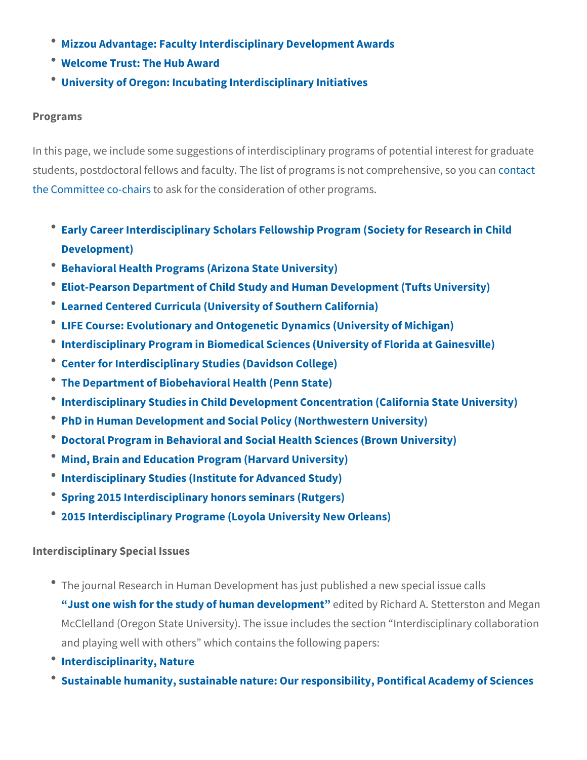- . [Mizzou Advantage: Faculty Interdisciplin](http://mizzouadvantage.missouri.edu/opportunities/faculty-interdisciplinary-development-awards/)ary Development Award
- [Welcome Trust: The](http://www.wellcome.ac.uk/Funding/Public-engagement/Funding-schemes/Hub-Award/index.htm) Hub Award
- [University of Oregon: Incubating Inte](http://rfd.uoregon.edu/content/incubating-interdisciplinary-initiatives-i3-awards)rdisciplinary Initiatives

Programs

In this page, we include some suggestions of interdisciplinary prog students, postdoctoral fellows and faculty. The list of prognates is the Committee **co-askifts** the consideration of other programs.

- [Early Career Interdisciplinary Scholars Fellowship Prog](https://www.srcd.org/professional-advancement/fellowships/ECISP)ram (Soc [Developm](https://www.srcd.org/professional-advancement/fellowships/ECISP)ent)
- [Behavioral Health Programs \(Arizo](https://asuonline.asu.edu/dbh)na State University)
- <sup>.</sup> [Eliot-Pearson Department of Child Study and Human](http://ase.tufts.edu/epcshd/default.aspx) Development
- [Learned Centered Curricula \(University](https://catalogue.usc.edu/schools/college/learner/#clp) of Southern California)
- [LIFE Course: Evolutionary and Ontogenetic Dyna](http://www.sitemaker.umich.edu/life/home)mics (Universit
- <sup>.</sup> [Interdisciplinary Program in Biomedical Sciences \(Un](http://idp.med.ufl.edu/)iversity of
- [Center for Interdisciplinary Studie](http://www.davidson.edu/academics/cis)s (Davidson College)
- [The Department of Biobehavioral](http://bbh.hhd.psu.edu/) Health (Penn State)
- <sup>.</sup> [Interdisciplinary Studies in Child Development Concentr](http://catalog.csustan.edu/preview_program.php?catoid=8&poid=569)ation (C
- [PhD in Human Development and Social Policy](http://www.sesp.northwestern.edu/hdsp/) (Northwestern Uni
- \* [Doctoral Program in Behavioral and Social Healt](http://www.brown.edu/academics/public-health/behavioral-and-social-sciences/graduate-programs-behavioral-and-social-science/doctoral-program-behavioral-and-social-health-scienc)h Sciences (Bro
- [Mind, Brain and Education Program](http://www.gse.harvard.edu/masters/mbe) (Harvard University)
- $^{\bullet}$  [Interdisciplinary Studies \(Institute](https://www.ids.ias.edu/) for Advanced Study)
- [Spring 2015 Interdisciplinary hono](http://www.sashonors.rutgers.edu/academics/curriculum/honors-courses/interdisciplinary-seminars/1861-spring-2015-interdisciplinary-honors-seminars2)rs seminars (Rutgers)
- [2015 Interdisciplinary Programe \(Loyola](http://2014bulletin.loyno.edu/undergraduate/interdisciplinary-programs) University New Orleans)

Interdisciplinary Special Issues

- \* The journal Research in Human Development has just published Just one wish for the study of huendained by Bonneamd A. Stetterst McClelland (Oregon State University). The issue includes the se and playing well with others which contains the following paper
- $^{\bullet}$  [Interdisciplinari](http://www.nature.com/news/interdisciplinarity-1.18295)ty, Nature
- <sup>.</sup> [Sustainable humanity, sustainable nature: Our responsibi](http://www.casinapioiv.va/content/accademia/en/publications/extraseries/sustainable.html)lity, P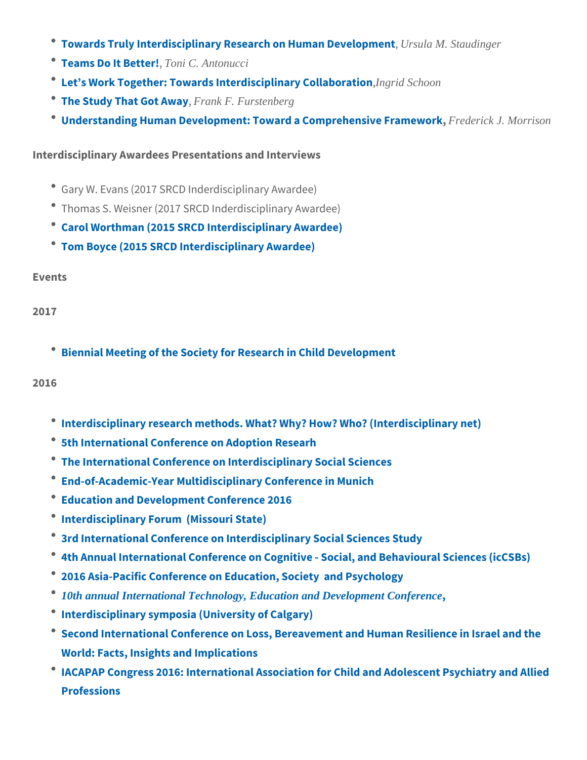- \* [Towards Truly Interdisciplinary Research](http://tandf.msgfocus.com/c/1vb5sXLtPjjuowE5CUmmKCg3c), Unsoula HMu Sotazuding Development
- $\bullet$  [Teams Do It](http://tandf.msgfocus.com/c/1vb5tkfBpyHZolg6HMiWxNp9l), Thone i  $\Omega$ . Antonucci
- [Let s Work Together: Towards Interdis](http://tandf.msgfocus.com/c/1vb5tGJIZO6uo9S7MEfwkYyfu)lagind Schoon Collaboration
- [The Study That](http://tandf.msgfocus.com/c/1vb5u3dQA3uZnYu8Rwc689HlD) Grank FA Finustenberg
- [Understanding Human Development: Toward a C](http://tandf.msgfocus.com/c/1vb5upHYaiTunN69Wo8FVkQrM)Foendepricke J. Morsisione Fr

Interdisciplinary Awardees Presentations and Interviews

- Gary W. Evans (2017 SRCD Inderdisciplinary Awardee)
- Thomas S. Weisner (2017 SRCD Inderdisciplinary Awardee)
- [Carol Worthman \(2015 SRCD Interd](https://www.youtube.com/watch?v=d8EsWOgCgv0)isciplinary Awardee)
- [Tom Boyce \(2015 SRCD Interdi](https://www.youtube.com/watch?v=_mSrc0GFpJw)sciplinary Awardee)

Events

2017

 $\bullet$  [Biennial Meeting of the Society for Rese](https://www.srcd.org/event/srcd-2017-biennial-meeting)arch in Child Developm

2016

- [Interdisciplinary research methods. What? Why? Ho](http://www.inter-disciplinary.net/research/interdisciplinarity/methodologies/research-methods/call-for-submissions/)w? Who? (In
- [5th International Conference on](http://www.icar5newzealand.com/) Adoption Researh
- [The International Conference on Interdis](http://www.istdst.org/HSS)ciplinary Social Scienc
- [End-of-Academic-Year Multidisciplinar](http://www.internationaljournal.org/munich.html)y Conference in Munich
- [Education and Development](http://www.ed-conference.org/) Conference 2016
- Interdisciplinary Forum (Missouri State)
- [3rd International Conference on Interdiscipl](http://www.flelearning.co.uk/icisss)inary Social Science
- <sup>.</sup> [4th Annual International Conference on Cognitive Socia](http://www.futureacademy.org.uk/ContentConference.aspx?code=89&conference_code=3&description=2014 Chairs & Message)l, and
- [2016 Asia-Pacific Conference on Educatio](http://www.apcesp.org/index.asp?id=2)n, Society and Psych
- [10th annual International Technology, Education and Development Confere](http://iated.org/inted/)nce
- [Interdisciplinary symposia \(Un](http://congress2016.ca/program/symposia)iversity of Calgary)
- <sup>.</sup> [Second International Conference on Loss, Bereavement and](http://www.ovdan-eilat2016.com/) Hum [World: Facts, Insights a](http://www.ovdan-eilat2016.com/)nd Implications
- [IACAPAP Congress 2016: International Association for Child](http://www.iacapap2016.org/) and [Profess](http://www.iacapap2016.org/)ions